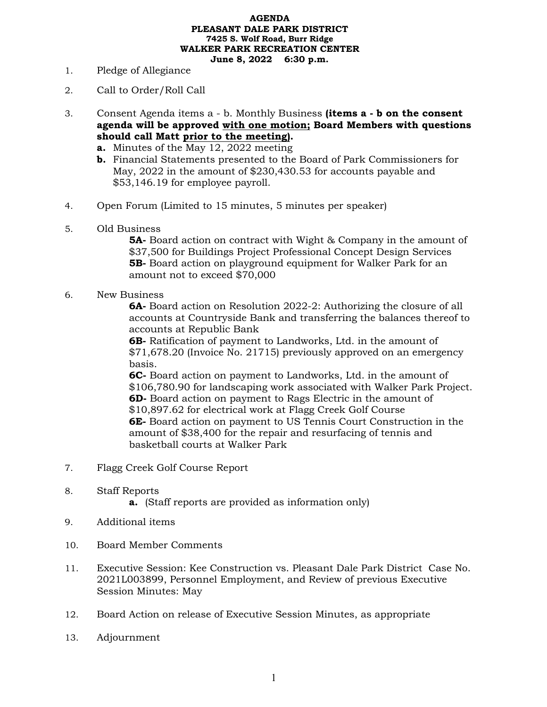## **AGENDA PLEASANT DALE PARK DISTRICT 7425 S. Wolf Road, Burr Ridge WALKER PARK RECREATION CENTER June 8, 2022 6:30 p.m.**

- 1. Pledge of Allegiance
- 2. Call to Order/Roll Call
- 3. Consent Agenda items a b. Monthly Business **(items a - b on the consent agenda will be approved with one motion; Board Members with questions should call Matt prior to the meeting).**
	- **a.** Minutes of the May 12, 2022 meeting
	- **b.** Financial Statements presented to the Board of Park Commissioners for May, 2022 in the amount of \$230,430.53 for accounts payable and \$53,146.19 for employee payroll.
- 4. Open Forum (Limited to 15 minutes, 5 minutes per speaker)
- 5. Old Business

**5A-** Board action on contract with Wight & Company in the amount of \$37,500 for Buildings Project Professional Concept Design Services **5B-** Board action on playground equipment for Walker Park for an amount not to exceed \$70,000

6. New Business

**6A-** Board action on Resolution 2022-2: Authorizing the closure of all accounts at Countryside Bank and transferring the balances thereof to accounts at Republic Bank

**6B-** Ratification of payment to Landworks, Ltd. in the amount of \$71,678.20 (Invoice No. 21715) previously approved on an emergency basis.

**6C-** Board action on payment to Landworks, Ltd. in the amount of \$106,780.90 for landscaping work associated with Walker Park Project. **6D-** Board action on payment to Rags Electric in the amount of \$10,897.62 for electrical work at Flagg Creek Golf Course **6E-** Board action on payment to US Tennis Court Construction in the amount of \$38,400 for the repair and resurfacing of tennis and basketball courts at Walker Park

- 7. Flagg Creek Golf Course Report
- 8. Staff Reports
	- **a.** (Staff reports are provided as information only)
- 9. Additional items
- 10. Board Member Comments
- 11. Executive Session: Kee Construction vs. Pleasant Dale Park District Case No. 2021L003899, Personnel Employment, and Review of previous Executive Session Minutes: May
- 12. Board Action on release of Executive Session Minutes, as appropriate
- 13. Adjournment